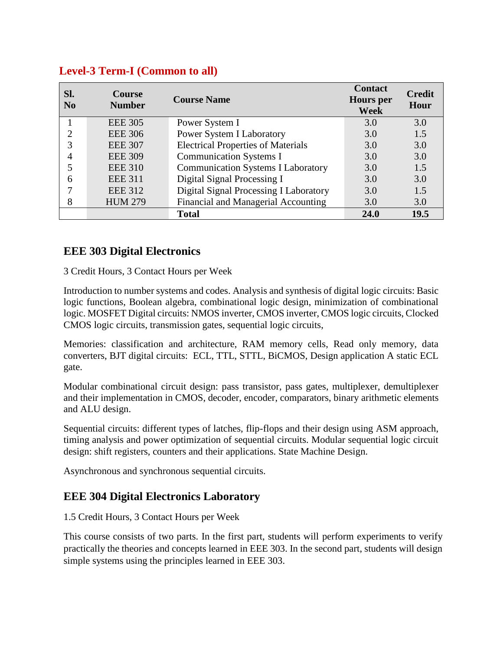| SI.<br>$\bf No$ | <b>Course</b><br><b>Number</b> | <b>Course Name</b>                        | <b>Contact</b><br><b>Hours</b> per<br><b>Week</b> | <b>Credit</b><br>Hour |
|-----------------|--------------------------------|-------------------------------------------|---------------------------------------------------|-----------------------|
|                 | <b>EEE 305</b>                 | Power System I                            | 3.0                                               | 3.0                   |
| ႒               | <b>EEE 306</b>                 | Power System I Laboratory                 | 3.0                                               | 1.5                   |
| 3               | <b>EEE 307</b>                 | <b>Electrical Properties of Materials</b> | 3.0                                               | 3.0                   |
|                 | <b>EEE 309</b>                 | <b>Communication Systems I</b>            | 3.0                                               | 3.0                   |
|                 | <b>EEE 310</b>                 | <b>Communication Systems I Laboratory</b> | 3.0                                               | 1.5                   |
| 6               | <b>EEE 311</b>                 | Digital Signal Processing I               | 3.0                                               | 3.0                   |
|                 | <b>EEE 312</b>                 | Digital Signal Processing I Laboratory    | 3.0                                               | 1.5                   |
| 8               | <b>HUM 279</b>                 | Financial and Managerial Accounting       | 3.0                                               | 3.0                   |
|                 |                                | <b>Total</b>                              | 24.0                                              | 19.5                  |

# **Level-3 Term-I (Common to all)**

#### **EEE 303 Digital Electronics**

3 Credit Hours, 3 Contact Hours per Week

Introduction to number systems and codes. Analysis and synthesis of digital logic circuits: Basic logic functions, Boolean algebra, combinational logic design, minimization of combinational logic. MOSFET Digital circuits: NMOS inverter, CMOS inverter, CMOS logic circuits, Clocked CMOS logic circuits, transmission gates, sequential logic circuits,

Memories: classification and architecture, RAM memory cells, Read only memory, data converters, BJT digital circuits: ECL, TTL, STTL, BiCMOS, Design application A static ECL gate.

Modular combinational circuit design: pass transistor, pass gates, multiplexer, demultiplexer and their implementation in CMOS, decoder, encoder, comparators, binary arithmetic elements and ALU design.

Sequential circuits: different types of latches, flip-flops and their design using ASM approach, timing analysis and power optimization of sequential circuits. Modular sequential logic circuit design: shift registers, counters and their applications. State Machine Design.

Asynchronous and synchronous sequential circuits.

#### **EEE 304 Digital Electronics Laboratory**

1.5 Credit Hours, 3 Contact Hours per Week

This course consists of two parts. In the first part, students will perform experiments to verify practically the theories and concepts learned in EEE 303. In the second part, students will design simple systems using the principles learned in EEE 303.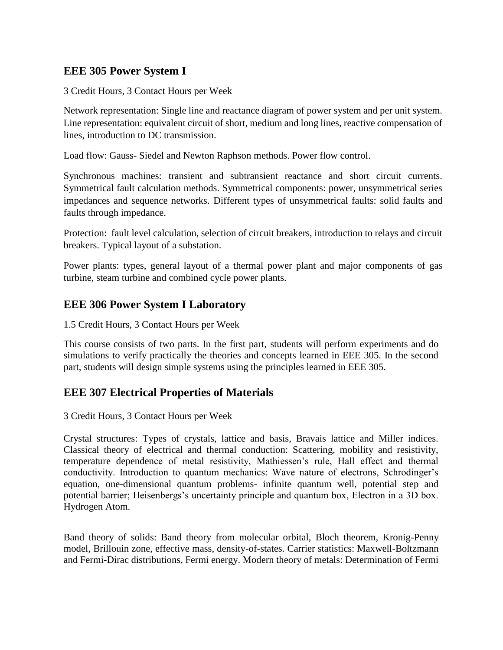# **EEE 305 Power System I**

3 Credit Hours, 3 Contact Hours per Week

Network representation: Single line and reactance diagram of power system and per unit system. Line representation: equivalent circuit of short, medium and long lines, reactive compensation of lines, introduction to DC transmission.

Load flow: Gauss- Siedel and Newton Raphson methods. Power flow control.

Synchronous machines: transient and subtransient reactance and short circuit currents. Symmetrical fault calculation methods. Symmetrical components: power, unsymmetrical series impedances and sequence networks. Different types of unsymmetrical faults: solid faults and faults through impedance.

Protection: fault level calculation, selection of circuit breakers, introduction to relays and circuit breakers. Typical layout of a substation.

Power plants: types, general layout of a thermal power plant and major components of gas turbine, steam turbine and combined cycle power plants.

#### **EEE 306 Power System I Laboratory**

1.5 Credit Hours, 3 Contact Hours per Week

This course consists of two parts. In the first part, students will perform experiments and do simulations to verify practically the theories and concepts learned in EEE 305. In the second part, students will design simple systems using the principles learned in EEE 305.

#### **EEE 307 Electrical Properties of Materials**

3 Credit Hours, 3 Contact Hours per Week

Crystal structures: Types of crystals, lattice and basis, Bravais lattice and Miller indices. Classical theory of electrical and thermal conduction: Scattering, mobility and resistivity, temperature dependence of metal resistivity, Mathiessen's rule, Hall effect and thermal conductivity. Introduction to quantum mechanics: Wave nature of electrons, Schrodinger's equation, one-dimensional quantum problems- infinite quantum well, potential step and potential barrier; Heisenbergs's uncertainty principle and quantum box, Electron in a 3D box. Hydrogen Atom.

Band theory of solids: Band theory from molecular orbital, Bloch theorem, Kronig-Penny model, Brillouin zone, effective mass, density-of-states. Carrier statistics: Maxwell-Boltzmann and Fermi-Dirac distributions, Fermi energy. Modern theory of metals: Determination of Fermi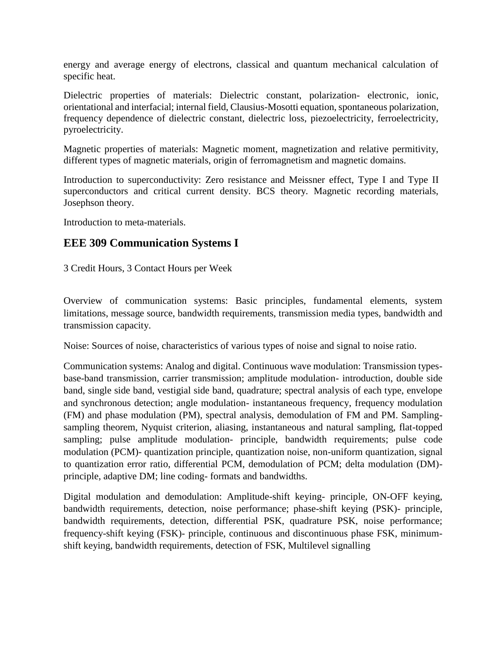energy and average energy of electrons, classical and quantum mechanical calculation of specific heat.

Dielectric properties of materials: Dielectric constant, polarization- electronic, ionic, orientational and interfacial; internal field, Clausius-Mosotti equation, spontaneous polarization, frequency dependence of dielectric constant, dielectric loss, piezoelectricity, ferroelectricity, pyroelectricity.

Magnetic properties of materials: Magnetic moment, magnetization and relative permitivity, different types of magnetic materials, origin of ferromagnetism and magnetic domains.

Introduction to superconductivity: Zero resistance and Meissner effect, Type I and Type II superconductors and critical current density. BCS theory. Magnetic recording materials, Josephson theory.

Introduction to meta-materials.

# **EEE 309 Communication Systems I**

3 Credit Hours, 3 Contact Hours per Week

Overview of communication systems: Basic principles, fundamental elements, system limitations, message source, bandwidth requirements, transmission media types, bandwidth and transmission capacity.

Noise: Sources of noise, characteristics of various types of noise and signal to noise ratio.

Communication systems: Analog and digital. Continuous wave modulation: Transmission typesbase-band transmission, carrier transmission; amplitude modulation- introduction, double side band, single side band, vestigial side band, quadrature; spectral analysis of each type, envelope and synchronous detection; angle modulation- instantaneous frequency, frequency modulation (FM) and phase modulation (PM), spectral analysis, demodulation of FM and PM. Samplingsampling theorem, Nyquist criterion, aliasing, instantaneous and natural sampling, flat-topped sampling; pulse amplitude modulation- principle, bandwidth requirements; pulse code modulation (PCM)- quantization principle, quantization noise, non-uniform quantization, signal to quantization error ratio, differential PCM, demodulation of PCM; delta modulation (DM) principle, adaptive DM; line coding- formats and bandwidths.

Digital modulation and demodulation: Amplitude-shift keying- principle, ON-OFF keying, bandwidth requirements, detection, noise performance; phase-shift keying (PSK)- principle, bandwidth requirements, detection, differential PSK, quadrature PSK, noise performance; frequency-shift keying (FSK)- principle, continuous and discontinuous phase FSK, minimumshift keying, bandwidth requirements, detection of FSK, Multilevel signalling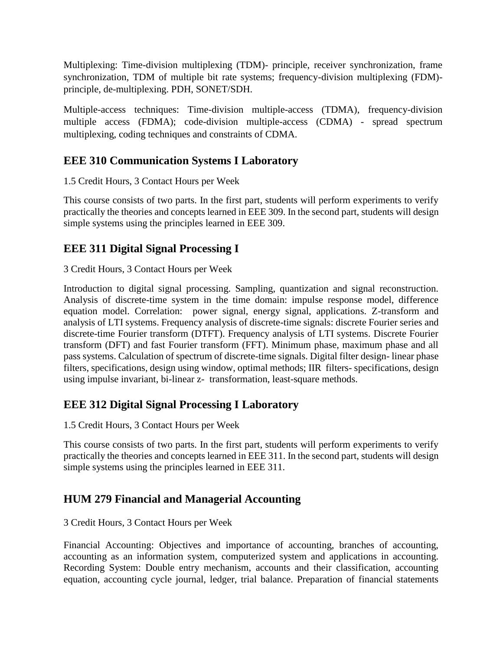Multiplexing: Time-division multiplexing (TDM)- principle, receiver synchronization, frame synchronization, TDM of multiple bit rate systems; frequency-division multiplexing (FDM) principle, de-multiplexing. PDH, SONET/SDH.

Multiple-access techniques: Time-division multiple-access (TDMA), frequency-division multiple access (FDMA); code-division multiple-access (CDMA) - spread spectrum multiplexing, coding techniques and constraints of CDMA.

# **EEE 310 Communication Systems I Laboratory**

1.5 Credit Hours, 3 Contact Hours per Week

This course consists of two parts. In the first part, students will perform experiments to verify practically the theories and concepts learned in EEE 309. In the second part, students will design simple systems using the principles learned in EEE 309.

# **EEE 311 Digital Signal Processing I**

3 Credit Hours, 3 Contact Hours per Week

Introduction to digital signal processing. Sampling, quantization and signal reconstruction. Analysis of discrete-time system in the time domain: impulse response model, difference equation model. Correlation: power signal, energy signal, applications. Z-transform and analysis of LTI systems. Frequency analysis of discrete-time signals: discrete Fourier series and discrete-time Fourier transform (DTFT). Frequency analysis of LTI systems. Discrete Fourier transform (DFT) and fast Fourier transform (FFT). Minimum phase, maximum phase and all pass systems. Calculation of spectrum of discrete-time signals. Digital filter design- linear phase filters, specifications, design using window, optimal methods; IIR filters- specifications, design using impulse invariant, bi-linear z- transformation, least-square methods.

# **EEE 312 Digital Signal Processing I Laboratory**

1.5 Credit Hours, 3 Contact Hours per Week

This course consists of two parts. In the first part, students will perform experiments to verify practically the theories and concepts learned in EEE 311. In the second part, students will design simple systems using the principles learned in EEE 311.

#### **HUM 279 Financial and Managerial Accounting**

#### 3 Credit Hours, 3 Contact Hours per Week

Financial Accounting: Objectives and importance of accounting, branches of accounting, accounting as an information system, computerized system and applications in accounting. Recording System: Double entry mechanism, accounts and their classification, accounting equation, accounting cycle journal, ledger, trial balance. Preparation of financial statements